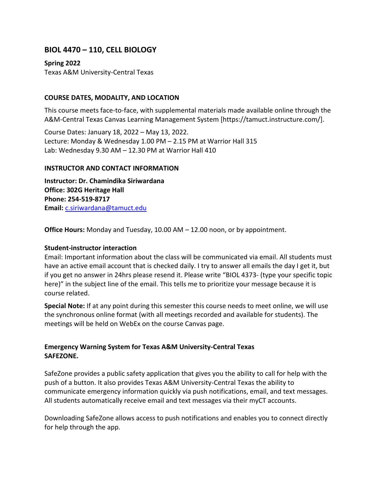# **BIOL 4470 – 110, CELL BIOLOGY**

**Spring 2022**

Texas A&M University-Central Texas

### **COURSE DATES, MODALITY, AND LOCATION**

This course meets face-to-face, with supplemental materials made available online through the A&M-Central Texas Canvas Learning Management System [https://tamuct.instructure.com/].

Course Dates: January 18, 2022 – May 13, 2022. Lecture: Monday & Wednesday 1.00 PM – 2.15 PM at Warrior Hall 315 Lab: Wednesday 9.30 AM – 12.30 PM at Warrior Hall 410

### **INSTRUCTOR AND CONTACT INFORMATION**

**Instructor: Dr. Chamindika Siriwardana Office: 302G Heritage Hall Phone: 254-519-8717 Email:** [c.siriwardana@tamuct.edu](mailto:c.siriwardana@tamuct.edu)

**Office Hours:** Monday and Tuesday, 10.00 AM – 12.00 noon, or by appointment.

### **Student-instructor interaction**

Email: Important information about the class will be communicated via email. All students must have an active email account that is checked daily. I try to answer all emails the day I get it, but if you get no answer in 24hrs please resend it. Please write "BIOL 4373- (type your specific topic here)" in the subject line of the email. This tells me to prioritize your message because it is course related.

**Special Note:** If at any point during this semester this course needs to meet online, we will use the synchronous online format (with all meetings recorded and available for students). The meetings will be held on WebEx on the course Canvas page.

## **Emergency Warning System for Texas A&M University-Central Texas SAFEZONE.**

SafeZone provides a public safety application that gives you the ability to call for help with the push of a button. It also provides Texas A&M University-Central Texas the ability to communicate emergency information quickly via push notifications, email, and text messages. All students automatically receive email and text messages via their myCT accounts.

Downloading SafeZone allows access to push notifications and enables you to connect directly for help through the app.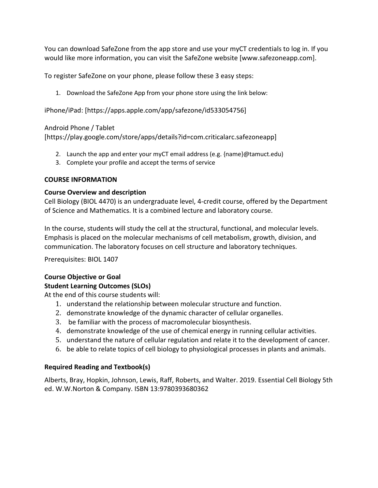You can download SafeZone from the app store and use your myCT credentials to log in. If you would like more information, you can visit the [SafeZone](https://nam04.safelinks.protection.outlook.com/?url=http%3A%2F%2Fwww.safezoneapp.com%2F&data=04%7C01%7Cc.siriwardana%40tamuct.edu%7C6a5fdb8c057b47f443bd08d9c3cb8f8e%7C9eed4e3000f744849ff193ad8005acec%7C0%7C0%7C637756101310352336%7CUnknown%7CTWFpbGZsb3d8eyJWIjoiMC4wLjAwMDAiLCJQIjoiV2luMzIiLCJBTiI6Ik1haWwiLCJXVCI6Mn0%3D%7C3000&sdata=gfLzBQTdcdbdJcnbh5CV%2FLfedLoUwlTnURONtcHQ4G4%3D&reserved=0) website [www.safezoneapp.com].

To register SafeZone on your phone, please follow these 3 easy steps:

1. Download the SafeZone App from your phone store using the link below:

[iPhone/iPad:](https://nam04.safelinks.protection.outlook.com/?url=https%3A%2F%2Fapps.apple.com%2Fapp%2Fsafezone%2Fid533054756&data=04%7C01%7Cc.siriwardana%40tamuct.edu%7C6a5fdb8c057b47f443bd08d9c3cb8f8e%7C9eed4e3000f744849ff193ad8005acec%7C0%7C0%7C637756101310352336%7CUnknown%7CTWFpbGZsb3d8eyJWIjoiMC4wLjAwMDAiLCJQIjoiV2luMzIiLCJBTiI6Ik1haWwiLCJXVCI6Mn0%3D%7C3000&sdata=ePeSdoNCIg1%2BsEUSUwKJe5R5KpJuZz2o9HVBq0rHQk4%3D&reserved=0) [https://apps.apple.com/app/safezone/id533054756]

## [Android Phone / Tablet](https://nam04.safelinks.protection.outlook.com/?url=https%3A%2F%2Fplay.google.com%2Fstore%2Fapps%2Fdetails%3Fid%3Dcom.criticalarc.safezoneapp&data=04%7C01%7Cc.siriwardana%40tamuct.edu%7C6a5fdb8c057b47f443bd08d9c3cb8f8e%7C9eed4e3000f744849ff193ad8005acec%7C0%7C0%7C637756101310352336%7CUnknown%7CTWFpbGZsb3d8eyJWIjoiMC4wLjAwMDAiLCJQIjoiV2luMzIiLCJBTiI6Ik1haWwiLCJXVCI6Mn0%3D%7C3000&sdata=zp%2FTmgPo7XoqVvqMVGN%2FAEiVViKgd0bzwBosRmBYgn4%3D&reserved=0)

[https://play.google.com/store/apps/details?id=com.criticalarc.safezoneapp]

- 2. Launch the app and enter your myCT email address (e.g.  ${name}$ ) $\omega$ tamuct.edu)
- 3. Complete your profile and accept the terms of service

## **COURSE INFORMATION**

## **Course Overview and description**

Cell Biology (BIOL 4470) is an undergraduate level, 4-credit course, offered by the Department of Science and Mathematics. It is a combined lecture and laboratory course.

In the course, students will study the cell at the structural, functional, and molecular levels. Emphasis is placed on the molecular mechanisms of cell metabolism, growth, division, and communication. The laboratory focuses on cell structure and laboratory techniques.

Prerequisites: BIOL 1407

# **Course Objective or Goal**

# **Student Learning Outcomes (SLOs)**

At the end of this course students will:

- 1. understand the relationship between molecular structure and function.
- 2. demonstrate knowledge of the dynamic character of cellular organelles.
- 3. be familiar with the process of macromolecular biosynthesis.
- 4. demonstrate knowledge of the use of chemical energy in running cellular activities.
- 5. understand the nature of cellular regulation and relate it to the development of cancer.
- 6. be able to relate topics of cell biology to physiological processes in plants and animals.

## **Required Reading and Textbook(s)**

Alberts, Bray, Hopkin, Johnson, Lewis, Raff, Roberts, and Walter. 2019. Essential Cell Biology 5th ed. W.W.Norton & Company. ISBN 13:9780393680362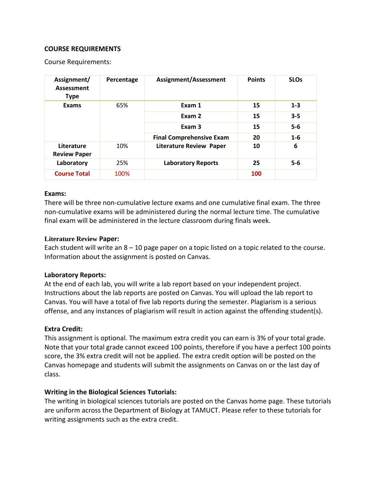### **COURSE REQUIREMENTS**

Course Requirements:

| Assignment/<br><b>Assessment</b><br><b>Type</b> | Percentage | Assignment/Assessment           | <b>Points</b> | <b>SLO<sub>s</sub></b> |
|-------------------------------------------------|------------|---------------------------------|---------------|------------------------|
| <b>Exams</b>                                    | 65%        | Exam 1                          | 15            | $1 - 3$                |
|                                                 |            | Exam 2                          | 15            | $3 - 5$                |
|                                                 |            | Exam 3                          | 15            | $5-6$                  |
|                                                 |            | <b>Final Comprehensive Exam</b> | 20            | $1 - 6$                |
| Literature<br><b>Review Paper</b>               | 10%        | <b>Literature Review Paper</b>  | 10            | 6                      |
| Laboratory                                      | 25%        | <b>Laboratory Reports</b>       | 25            | $5-6$                  |
| <b>Course Total</b>                             | 100%       |                                 | 100           |                        |

#### **Exams:**

There will be three non-cumulative lecture exams and one cumulative final exam. The three non-cumulative exams will be administered during the normal lecture time. The cumulative final exam will be administered in the lecture classroom during finals week.

#### **Literature Review Paper:**

Each student will write an  $8 - 10$  page paper on a topic listed on a topic related to the course. Information about the assignment is posted on Canvas.

### **Laboratory Reports:**

At the end of each lab, you will write a lab report based on your independent project. Instructions about the lab reports are posted on Canvas. You will upload the lab report to Canvas. You will have a total of five lab reports during the semester. Plagiarism is a serious offense, and any instances of plagiarism will result in action against the offending student(s).

### **Extra Credit:**

This assignment is optional. The maximum extra credit you can earn is 3% of your total grade. Note that your total grade cannot exceed 100 points, therefore if you have a perfect 100 points score, the 3% extra credit will not be applied. The extra credit option will be posted on the Canvas homepage and students will submit the assignments on Canvas on or the last day of class.

### **Writing in the Biological Sciences Tutorials:**

The writing in biological sciences tutorials are posted on the Canvas home page. These tutorials are uniform across the Department of Biology at TAMUCT. Please refer to these tutorials for writing assignments such as the extra credit.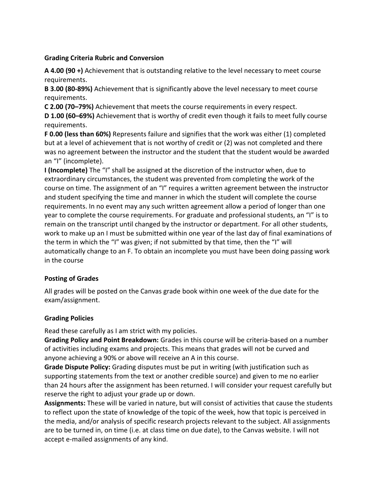### **Grading Criteria Rubric and Conversion**

**A 4.00 (90 +)** Achievement that is outstanding relative to the level necessary to meet course requirements.

**B 3.00 (80-89%)** Achievement that is significantly above the level necessary to meet course requirements.

**C 2.00 (70–79%)** Achievement that meets the course requirements in every respect.

**D 1.00 (60–69%)** Achievement that is worthy of credit even though it fails to meet fully course requirements.

**F 0.00 (less than 60%)** Represents failure and signifies that the work was either (1) completed but at a level of achievement that is not worthy of credit or (2) was not completed and there was no agreement between the instructor and the student that the student would be awarded an "I" (incomplete).

**I (Incomplete)** The "I" shall be assigned at the discretion of the instructor when, due to extraordinary circumstances, the student was prevented from completing the work of the course on time. The assignment of an "I" requires a written agreement between the instructor and student specifying the time and manner in which the student will complete the course requirements. In no event may any such written agreement allow a period of longer than one year to complete the course requirements. For graduate and professional students, an "I" is to remain on the transcript until changed by the instructor or department. For all other students, work to make up an I must be submitted within one year of the last day of final examinations of the term in which the "I" was given; if not submitted by that time, then the "I" will automatically change to an F. To obtain an incomplete you must have been doing passing work in the course

## **Posting of Grades**

All grades will be posted on the Canvas grade book within one week of the due date for the exam/assignment.

# **Grading Policies**

Read these carefully as I am strict with my policies.

**Grading Policy and Point Breakdown:** Grades in this course will be criteria-based on a number of activities including exams and projects. This means that grades will not be curved and anyone achieving a 90% or above will receive an A in this course.

**Grade Dispute Policy:** Grading disputes must be put in writing (with justification such as supporting statements from the text or another credible source) and given to me no earlier than 24 hours after the assignment has been returned. I will consider your request carefully but reserve the right to adjust your grade up or down.

**Assignments:** These will be varied in nature, but will consist of activities that cause the students to reflect upon the state of knowledge of the topic of the week, how that topic is perceived in the media, and/or analysis of specific research projects relevant to the subject. All assignments are to be turned in, on time (i.e. at class time on due date), to the Canvas website. I will not accept e-mailed assignments of any kind.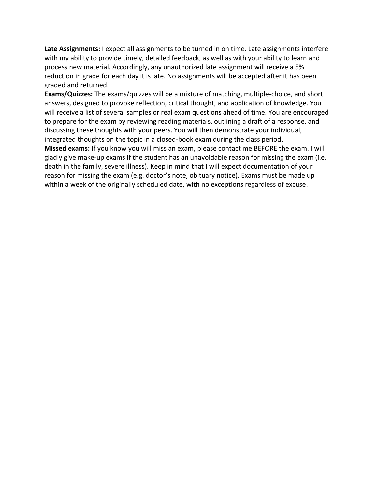**Late Assignments:** I expect all assignments to be turned in on time. Late assignments interfere with my ability to provide timely, detailed feedback, as well as with your ability to learn and process new material. Accordingly, any unauthorized late assignment will receive a 5% reduction in grade for each day it is late. No assignments will be accepted after it has been graded and returned.

**Exams/Quizzes:** The exams/quizzes will be a mixture of matching, multiple-choice, and short answers, designed to provoke reflection, critical thought, and application of knowledge. You will receive a list of several samples or real exam questions ahead of time. You are encouraged to prepare for the exam by reviewing reading materials, outlining a draft of a response, and discussing these thoughts with your peers. You will then demonstrate your individual, integrated thoughts on the topic in a closed-book exam during the class period. **Missed exams:** If you know you will miss an exam, please contact me BEFORE the exam. I will gladly give make-up exams if the student has an unavoidable reason for missing the exam (i.e. death in the family, severe illness). Keep in mind that I will expect documentation of your reason for missing the exam (e.g. doctor's note, obituary notice). Exams must be made up within a week of the originally scheduled date, with no exceptions regardless of excuse.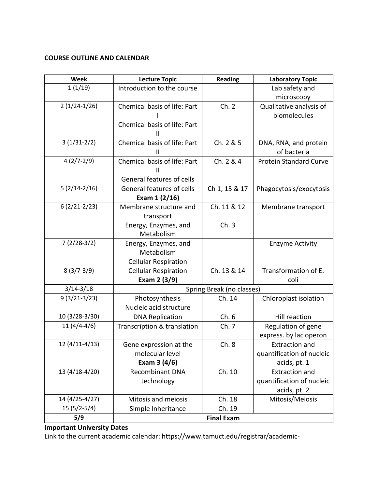## **COURSE OUTLINE AND CALENDAR**

| Week            | <b>Lecture Topic</b>         | <b>Reading</b>            | <b>Laboratory Topic</b>       |
|-----------------|------------------------------|---------------------------|-------------------------------|
| 1(1/19)         | Introduction to the course   |                           | Lab safety and                |
|                 |                              |                           | microscopy                    |
| $2(1/24-1/26)$  | Chemical basis of life: Part | Ch. 2                     | Qualitative analysis of       |
|                 |                              |                           | biomolecules                  |
|                 | Chemical basis of life: Part |                           |                               |
|                 | Ш                            |                           |                               |
| $3(1/31-2/2)$   | Chemical basis of life: Part | Ch. 2 & 5                 | DNA, RNA, and protein         |
|                 | Ш                            |                           | of bacteria                   |
| $4(2/7-2/9)$    | Chemical basis of life: Part | Ch. 2 & 4                 | <b>Protein Standard Curve</b> |
|                 | Ш                            |                           |                               |
|                 | General features of cells    |                           |                               |
| $5(2/14-2/16)$  | General features of cells    | Ch 1, 15 & 17             | Phagocytosis/exocytosis       |
|                 | Exam 1 (2/16)                |                           |                               |
| $6(2/21-2/23)$  | Membrane structure and       | Ch. 11 & 12               | Membrane transport            |
|                 | transport                    |                           |                               |
|                 | Energy, Enzymes, and         | Ch.3                      |                               |
|                 | Metabolism                   |                           |                               |
| $7(2/28-3/2)$   | Energy, Enzymes, and         |                           | <b>Enzyme Activity</b>        |
|                 | Metabolism                   |                           |                               |
|                 | <b>Cellular Respiration</b>  |                           |                               |
| $8(3/7-3/9)$    | <b>Cellular Respiration</b>  | Ch. 13 & 14               | Transformation of E.          |
|                 | Exam 2 (3/9)                 |                           | coli                          |
| $3/14 - 3/18$   |                              | Spring Break (no classes) |                               |
| $9(3/21-3/23)$  | Photosynthesis               | Ch. 14                    | Chloroplast isolation         |
|                 | Nucleic acid structure       |                           |                               |
| 10 (3/28-3/30)  | <b>DNA Replication</b>       | Ch.6                      | Hill reaction                 |
| $11(4/4-4/6)$   | Transcription & translation  | Ch. 7                     | Regulation of gene            |
|                 |                              |                           | express. by lac operon        |
| $12(4/11-4/13)$ | Gene expression at the       | Ch.8                      | <b>Extraction and</b>         |
|                 | molecular level              |                           | quantification of nucleic     |
|                 | Exam $3(4/6)$                |                           | acids, pt. 1                  |
| 13 (4/18-4/20)  | <b>Recombinant DNA</b>       | Ch. 10                    | <b>Extraction and</b>         |
|                 | technology                   |                           | quantification of nucleic     |
|                 |                              |                           | acids, pt. 2                  |
| 14 (4/25-4/27)  | Mitosis and meiosis          | Ch. 18                    | Mitosis/Meiosis               |
| $15(5/2-5/4)$   | Simple Inheritance           | Ch. 19                    |                               |
| 5/9             |                              | <b>Final Exam</b>         |                               |

# **Important University Dates**

Link to the current academic calendar: https://www.tamuct.edu/registrar/academic-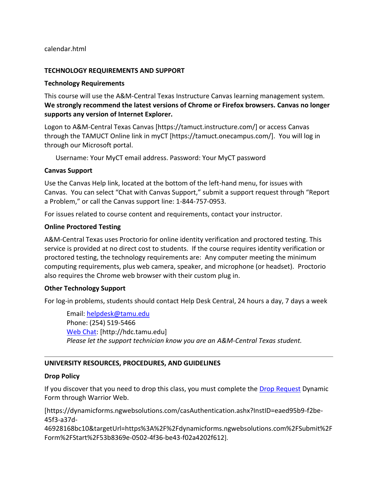calendar.html

### **TECHNOLOGY REQUIREMENTS AND SUPPORT**

#### **Technology Requirements**

This course will use the A&M-Central Texas Instructure Canvas learning management system. **We strongly recommend the latest versions of Chrome or Firefox browsers. Canvas no longer supports any version of Internet Explorer.**

Logon to A&M-Central Texas Canvas [https://tamuct.instructure.com/] or access Canvas through the TAMUCT Online link in myCT [https://tamuct.onecampus.com/]. You will log in through our Microsoft portal.

Username: Your MyCT email address. Password: Your MyCT password

#### **Canvas Support**

Use the Canvas Help link, located at the bottom of the left-hand menu, for issues with Canvas. You can select "Chat with Canvas Support," submit a support request through "Report a Problem," or call the Canvas support line: 1-844-757-0953.

For issues related to course content and requirements, contact your instructor.

#### **Online Proctored Testing**

A&M-Central Texas uses Proctorio for online identity verification and proctored testing. This service is provided at no direct cost to students. If the course requires identity verification or proctored testing, the technology requirements are: Any computer meeting the minimum computing requirements, plus web camera, speaker, and microphone (or headset). Proctorio also requires the Chrome web browser with their custom plug in.

### **Other Technology Support**

For log-in problems, students should contact Help Desk Central, 24 hours a day, 7 days a week

Email: [helpdesk@tamu.edu](mailto:helpdesk@tamu.edu) Phone: (254) 519-5466 [Web Chat:](http://hdc.tamu.edu/) [http://hdc.tamu.edu] *Please let the support technician know you are an A&M-Central Texas student.*

### **UNIVERSITY RESOURCES, PROCEDURES, AND GUIDELINES**

#### **Drop Policy**

If you discover that you need to drop this class, you must complete the [Drop Request](https://dynamicforms.ngwebsolutions.com/casAuthentication.ashx?InstID=eaed95b9-f2be-45f3-a37d-46928168bc10&targetUrl=https%3A%2F%2Fdynamicforms.ngwebsolutions.com%2FSubmit%2FForm%2FStart%2F53b8369e-0502-4f36-be43-f02a4202f612) Dynamic Form through Warrior Web.

[https://dynamicforms.ngwebsolutions.com/casAuthentication.ashx?InstID=eaed95b9-f2be-45f3-a37d-

46928168bc10&targetUrl=https%3A%2F%2Fdynamicforms.ngwebsolutions.com%2FSubmit%2F Form%2FStart%2F53b8369e-0502-4f36-be43-f02a4202f612].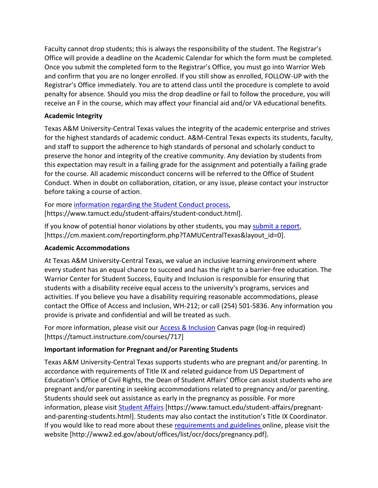Faculty cannot drop students; this is always the responsibility of the student. The Registrar's Office will provide a deadline on the Academic Calendar for which the form must be completed. Once you submit the completed form to the Registrar's Office, you must go into Warrior Web and confirm that you are no longer enrolled. If you still show as enrolled, FOLLOW-UP with the Registrar's Office immediately. You are to attend class until the procedure is complete to avoid penalty for absence. Should you miss the drop deadline or fail to follow the procedure, you will receive an F in the course, which may affect your financial aid and/or VA educational benefits.

## **Academic Integrity**

Texas A&M University-Central Texas values the integrity of the academic enterprise and strives for the highest standards of academic conduct. A&M-Central Texas expects its students, faculty, and staff to support the adherence to high standards of personal and scholarly conduct to preserve the honor and integrity of the creative community. Any deviation by students from this expectation may result in a failing grade for the assignment and potentially a failing grade for the course. All academic misconduct concerns will be referred to the Office of Student Conduct. When in doubt on collaboration, citation, or any issue, please contact your instructor before taking a course of action.

For more [information](https://nam04.safelinks.protection.outlook.com/?url=https%3A%2F%2Fwww.tamuct.edu%2Fstudent-affairs%2Fstudent-conduct.html&data=04%7C01%7Clisa.bunkowski%40tamuct.edu%7Ccfb6e486f24745f53e1a08d910055cb2%7C9eed4e3000f744849ff193ad8005acec%7C0%7C0%7C637558437485252160%7CUnknown%7CTWFpbGZsb3d8eyJWIjoiMC4wLjAwMDAiLCJQIjoiV2luMzIiLCJBTiI6Ik1haWwiLCJXVCI6Mn0%3D%7C1000&sdata=yjftDEVHvLX%2FhM%2FcFU0B99krV1RgEWR%2BJ%2BhvtoR6TYk%3D&reserved=0) regarding the Student Conduct process, [https://www.tamuct.edu/student-affairs/student-conduct.html].

If you know of potential honor violations by other students, you may [submit](https://nam04.safelinks.protection.outlook.com/?url=https%3A%2F%2Fcm.maxient.com%2Freportingform.php%3FTAMUCentralTexas%26layout_id%3D0&data=04%7C01%7Clisa.bunkowski%40tamuct.edu%7Ccfb6e486f24745f53e1a08d910055cb2%7C9eed4e3000f744849ff193ad8005acec%7C0%7C0%7C637558437485262157%7CUnknown%7CTWFpbGZsb3d8eyJWIjoiMC4wLjAwMDAiLCJQIjoiV2luMzIiLCJBTiI6Ik1haWwiLCJXVCI6Mn0%3D%7C1000&sdata=CXGkOa6uPDPX1IMZ87z3aZDq2n91xfHKu4MMS43Ejjk%3D&reserved=0) a report, [https://cm.maxient.com/reportingform.php?TAMUCentralTexas&layout\_id=0].

## **Academic Accommodations**

At Texas A&M University-Central Texas, we value an inclusive learning environment where every student has an equal chance to succeed and has the right to a barrier-free education. The Warrior Center for Student Success, Equity and Inclusion is responsible for ensuring that students with a disability receive equal access to the university's programs, services and activities. If you believe you have a disability requiring reasonable accommodations, please contact the Office of Access and Inclusion, WH-212; or call (254) 501-5836. Any information you provide is private and confidential and will be treated as such.

For more information, please visit our **Access & Inclusion** Canvas page (log-in required) [https://tamuct.instructure.com/courses/717]

# **Important information for Pregnant and/or Parenting Students**

Texas A&M University-Central Texas supports students who are pregnant and/or parenting. In accordance with requirements of Title IX and related guidance from US Department of Education's Office of Civil Rights, the Dean of Student Affairs' Office can assist students who are pregnant and/or parenting in seeking accommodations related to pregnancy and/or parenting. Students should seek out assistance as early in the pregnancy as possible. For more information, please visit [Student Affairs](https://www.tamuct.edu/student-affairs/pregnant-and-parenting-students.html) [https://www.tamuct.edu/student-affairs/pregnantand-parenting-students.html]. Students may also contact the institution's Title IX Coordinator. If you would like to read more about these [requirements and guidelines](http://www2.ed.gov/about/offices/list/ocr/docs/pregnancy.pdf) online, please visit the website [http://www2.ed.gov/about/offices/list/ocr/docs/pregnancy.pdf].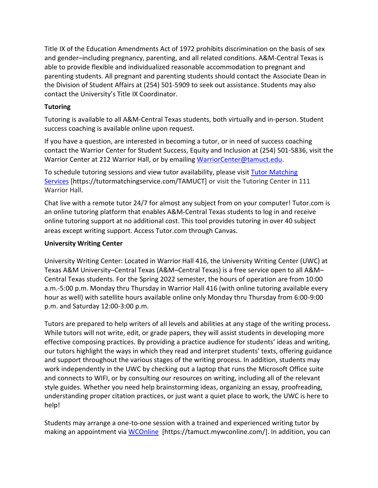Title IX of the Education Amendments Act of 1972 prohibits discrimination on the basis of sex and gender–including pregnancy, parenting, and all related conditions. A&M-Central Texas is able to provide flexible and individualized reasonable accommodation to pregnant and parenting students. All pregnant and parenting students should contact the Associate Dean in the Division of Student Affairs at (254) 501-5909 to seek out assistance. Students may also contact the University's Title IX Coordinator.

## **Tutoring**

Tutoring is available to all A&M-Central Texas students, both virtually and in-person. Student success coaching is available online upon request.

If you have a question, are interested in becoming a tutor, or in need of success coaching contact the Warrior Center for Student Success, Equity and Inclusion at (254) 501-5836, visit the Warrior Center at 212 Warrior Hall, or by emailing [WarriorCenter@tamuct.edu.](mailto:WarriorCenter@tamuct.edu)

To schedule tutoring sessions and view tutor availability, please visit Tutor [Matching](https://nam04.safelinks.protection.outlook.com/?url=http%3A%2F%2Fwww.tutormatchingservices.com%2FTAMUCT&data=04%7C01%7Clisa.bunkowski%40tamuct.edu%7C886784139069461670c308d9aa01f55e%7C9eed4e3000f744849ff193ad8005acec%7C0%7C0%7C637727747643427346%7CUnknown%7CTWFpbGZsb3d8eyJWIjoiMC4wLjAwMDAiLCJQIjoiV2luMzIiLCJBTiI6Ik1haWwiLCJXVCI6Mn0%3D%7C3000&sdata=D%2F8HN2bUT1lLPfs5qSqKYlwh8a7pZVy7isM2gppluQE%3D&reserved=0) [Services](https://nam04.safelinks.protection.outlook.com/?url=http%3A%2F%2Fwww.tutormatchingservices.com%2FTAMUCT&data=04%7C01%7Clisa.bunkowski%40tamuct.edu%7C886784139069461670c308d9aa01f55e%7C9eed4e3000f744849ff193ad8005acec%7C0%7C0%7C637727747643427346%7CUnknown%7CTWFpbGZsb3d8eyJWIjoiMC4wLjAwMDAiLCJQIjoiV2luMzIiLCJBTiI6Ik1haWwiLCJXVCI6Mn0%3D%7C3000&sdata=D%2F8HN2bUT1lLPfs5qSqKYlwh8a7pZVy7isM2gppluQE%3D&reserved=0) [https://tutormatchingservice.com/TAMUCT] or visit the Tutoring Center in 111 Warrior Hall.

Chat live with a remote tutor 24/7 for almost any subject from on your computer! Tutor.com is an online tutoring platform that enables A&M-Central Texas students to log in and receive online tutoring support at no additional cost. This tool provides tutoring in over 40 subject areas except writing support. Access Tutor.com through Canvas.

## **University Writing Center**

University Writing Center: Located in Warrior Hall 416, the University Writing Center (UWC) at Texas A&M University–Central Texas (A&M–Central Texas) is a free service open to all A&M– Central Texas students. For the Spring 2022 semester, the hours of operation are from 10:00 a.m.-5:00 p.m. Monday thru Thursday in Warrior Hall 416 (with online tutoring available every hour as well) with satellite hours available online only Monday thru Thursday from 6:00-9:00 p.m. and Saturday 12:00-3:00 p.m.

Tutors are prepared to help writers of all levels and abilities at any stage of the writing process. While tutors will not write, edit, or grade papers, they will assist students in developing more effective composing practices. By providing a practice audience for students' ideas and writing, our tutors highlight the ways in which they read and interpret students' texts, offering guidance and support throughout the various stages of the writing process. In addition, students may work independently in the UWC by checking out a laptop that runs the Microsoft Office suite and connects to WIFI, or by consulting our resources on writing, including all of the relevant style guides. Whether you need help brainstorming ideas, organizing an essay, proofreading, understanding proper citation practices, or just want a quiet place to work, the UWC is here to help!

Students may arrange a one-to-one session with a trained and experienced writing tutor by making an appointment via [WCOnline](https://tamuct.mywconline.com/) [https://tamuct.mywconline.com/]. In addition, you can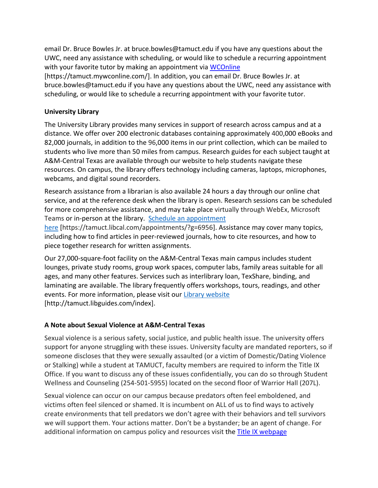email Dr. Bruce Bowles Jr. at bruce.bowles@tamuct.edu if you have any questions about the UWC, need any assistance with scheduling, or would like to schedule a recurring appointment with your favorite tutor by making an appointment via [WCOnline](https://tamuct.mywconline.com/)

[https://tamuct.mywconline.com/]. In addition, you can email Dr. Bruce Bowles Jr. at bruce.bowles@tamuct.edu if you have any questions about the UWC, need any assistance with scheduling, or would like to schedule a recurring appointment with your favorite tutor.

### **University Library**

The University Library provides many services in support of research across campus and at a distance. We offer over 200 electronic databases containing approximately 400,000 eBooks and 82,000 journals, in addition to the 96,000 items in our print collection, which can be mailed to students who live more than 50 miles from campus. Research guides for each subject taught at A&M-Central Texas are available through our website to help students navigate these resources. On campus, the library offers technology including cameras, laptops, microphones, webcams, and digital sound recorders.

Research assistance from a librarian is also available 24 hours a day through our online chat service, and at the reference desk when the library is open. Research sessions can be scheduled for more comprehensive assistance, and may take place virtually through WebEx, Microsoft Teams or in-person at the library. Schedule an [appointment](https://nam04.safelinks.protection.outlook.com/?url=https%3A%2F%2Ftamuct.libcal.com%2Fappointments%2F%3Fg%3D6956&data=04%7C01%7Clisa.bunkowski%40tamuct.edu%7Cde2c07d9f5804f09518008d9ab7ba6ff%7C9eed4e3000f744849ff193ad8005acec%7C0%7C0%7C637729369835011558%7CUnknown%7CTWFpbGZsb3d8eyJWIjoiMC4wLjAwMDAiLCJQIjoiV2luMzIiLCJBTiI6Ik1haWwiLCJXVCI6Mn0%3D%7C3000&sdata=KhtjgRSAw9aq%2FoBsB6wyu8b7PSuGN5EGPypzr3Ty2No%3D&reserved=0)

[here](https://nam04.safelinks.protection.outlook.com/?url=https%3A%2F%2Ftamuct.libcal.com%2Fappointments%2F%3Fg%3D6956&data=04%7C01%7Clisa.bunkowski%40tamuct.edu%7Cde2c07d9f5804f09518008d9ab7ba6ff%7C9eed4e3000f744849ff193ad8005acec%7C0%7C0%7C637729369835011558%7CUnknown%7CTWFpbGZsb3d8eyJWIjoiMC4wLjAwMDAiLCJQIjoiV2luMzIiLCJBTiI6Ik1haWwiLCJXVCI6Mn0%3D%7C3000&sdata=KhtjgRSAw9aq%2FoBsB6wyu8b7PSuGN5EGPypzr3Ty2No%3D&reserved=0) [https://tamuct.libcal.com/appointments/?g=6956]. Assistance may cover many topics, including how to find articles in peer-reviewed journals, how to cite resources, and how to piece together research for written assignments.

Our 27,000-square-foot facility on the A&M-Central Texas main campus includes student lounges, private study rooms, group work spaces, computer labs, family areas suitable for all ages, and many other features. Services such as interlibrary loan, TexShare, binding, and laminating are available. The library frequently offers workshops, tours, readings, and other events. For more information, please visit our Library [website](https://nam04.safelinks.protection.outlook.com/?url=https%3A%2F%2Ftamuct.libguides.com%2Findex&data=04%7C01%7Clisa.bunkowski%40tamuct.edu%7C7d8489e8839a4915335f08d916f067f2%7C9eed4e3000f744849ff193ad8005acec%7C0%7C0%7C637566044056484222%7CUnknown%7CTWFpbGZsb3d8eyJWIjoiMC4wLjAwMDAiLCJQIjoiV2luMzIiLCJBTiI6Ik1haWwiLCJXVCI6Mn0%3D%7C1000&sdata=2R755V6rcIyedGrd4Os5rkgn1PvhHKU3kUV1vBKiHFo%3D&reserved=0) [http://tamuct.libguides.com/index].

## **A Note about Sexual Violence at A&M-Central Texas**

Sexual violence is a serious safety, social justice, and public health issue. The university offers support for anyone struggling with these issues. University faculty are mandated reporters, so if someone discloses that they were sexually assaulted (or a victim of Domestic/Dating Violence or Stalking) while a student at TAMUCT, faculty members are required to inform the Title IX Office. If you want to discuss any of these issues confidentially, you can do so through Student Wellness and Counseling (254-501-5955) located on the second floor of Warrior Hall (207L).

Sexual violence can occur on our campus because predators often feel emboldened, and victims often feel silenced or shamed. It is incumbent on ALL of us to find ways to actively create environments that tell predators we don't agree with their behaviors and tell survivors we will support them. Your actions matter. Don't be a bystander; be an agent of change. For additional information on campus policy and resources visit the **Title IX webpage**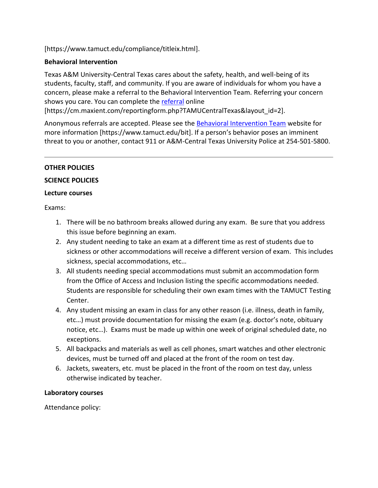[\[https://www.tamuct.edu/compliance/titleix.html\]](https://www.tamuct.edu/compliance/titleix.html).

## **Behavioral Intervention**

Texas A&M University-Central Texas cares about the safety, health, and well-being of its students, faculty, staff, and community. If you are aware of individuals for whom you have a concern, please make a referral to the Behavioral Intervention Team. Referring your concern shows you care. You can complete the [referral](https://cm.maxient.com/reportingform.php?TAMUCentralTexas&layout_id=2) online

[https://cm.maxient.com/reportingform.php?TAMUCentralTexas&layout\_id=2].

Anonymous referrals are accepted. Please see the [Behavioral Intervention Team](https://www.tamuct.edu/bit) website for more information [https://www.tamuct.edu/bit]. If a person's behavior poses an imminent threat to you or another, contact 911 or A&M-Central Texas University Police at 254-501-5800.

### **OTHER POLICIES**

### **SCIENCE POLICIES**

### **Lecture courses**

Exams:

- 1. There will be no bathroom breaks allowed during any exam. Be sure that you address this issue before beginning an exam.
- 2. Any student needing to take an exam at a different time as rest of students due to sickness or other accommodations will receive a different version of exam. This includes sickness, special accommodations, etc…
- 3. All students needing special accommodations must submit an accommodation form from the Office of Access and Inclusion listing the specific accommodations needed. Students are responsible for scheduling their own exam times with the TAMUCT Testing Center.
- 4. Any student missing an exam in class for any other reason (i.e. illness, death in family, etc…) must provide documentation for missing the exam (e.g. doctor's note, obituary notice, etc…). Exams must be made up within one week of original scheduled date, no exceptions.
- 5. All backpacks and materials as well as cell phones, smart watches and other electronic devices, must be turned off and placed at the front of the room on test day.
- 6. Jackets, sweaters, etc. must be placed in the front of the room on test day, unless otherwise indicated by teacher.

## **Laboratory courses**

Attendance policy: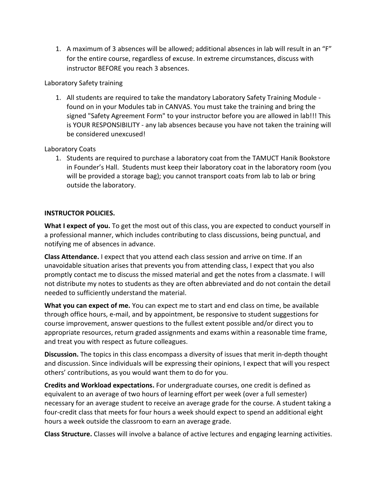1. A maximum of 3 absences will be allowed; additional absences in lab will result in an "F" for the entire course, regardless of excuse. In extreme circumstances, discuss with instructor BEFORE you reach 3 absences.

### Laboratory Safety training

1. All students are required to take the mandatory Laboratory Safety Training Module found on in your [Modules tab](https://tamuct.instructure.com/courses/2714/modules/22062) in CANVAS. You must take the training and bring the signed "Safety Agreement Form" to your instructor before you are allowed in lab!!! This is YOUR RESPONSIBILITY - any lab absences because you have not taken the training will be considered unexcused!

## Laboratory Coats

1. Students are required to purchase a laboratory coat from the TAMUCT Hanik Bookstore in Founder's Hall. Students must keep their laboratory coat in the laboratory room (you will be provided a storage bag); you cannot transport coats from lab to lab or bring outside the laboratory.

### **INSTRUCTOR POLICIES.**

**What I expect of you.** To get the most out of this class, you are expected to conduct yourself in a professional manner, which includes contributing to class discussions, being punctual, and notifying me of absences in advance.

**Class Attendance.** I expect that you attend each class session and arrive on time. If an unavoidable situation arises that prevents you from attending class, I expect that you also promptly contact me to discuss the missed material and get the notes from a classmate. I will not distribute my notes to students as they are often abbreviated and do not contain the detail needed to sufficiently understand the material.

**What you can expect of me.** You can expect me to start and end class on time, be available through office hours, e-mail, and by appointment, be responsive to student suggestions for course improvement, answer questions to the fullest extent possible and/or direct you to appropriate resources, return graded assignments and exams within a reasonable time frame, and treat you with respect as future colleagues.

**Discussion.** The topics in this class encompass a diversity of issues that merit in-depth thought and discussion. Since individuals will be expressing their opinions, I expect that will you respect others' contributions, as you would want them to do for you.

**Credits and Workload expectations.** For undergraduate courses, one credit is defined as equivalent to an average of two hours of learning effort per week (over a full semester) necessary for an average student to receive an average grade for the course. A student taking a four-credit class that meets for four hours a week should expect to spend an additional eight hours a week outside the classroom to earn an average grade.

**Class Structure.** Classes will involve a balance of active lectures and engaging learning activities.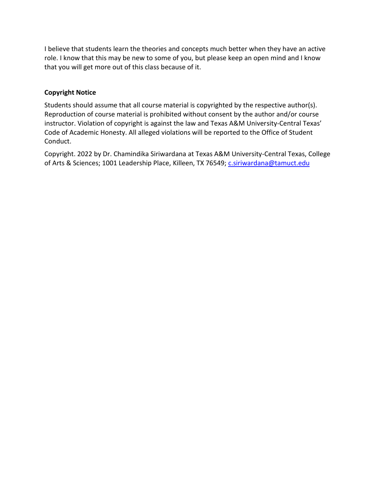I believe that students learn the theories and concepts much better when they have an active role. I know that this may be new to some of you, but please keep an open mind and I know that you will get more out of this class because of it.

## **Copyright Notice**

Students should assume that all course material is copyrighted by the respective author(s). Reproduction of course material is prohibited without consent by the author and/or course instructor. Violation of copyright is against the law and Texas A&M University-Central Texas' Code of Academic Honesty. All alleged violations will be reported to the Office of Student Conduct.

Copyright. 2022 by Dr. Chamindika Siriwardana at Texas A&M University-Central Texas, College of Arts & Sciences; 1001 Leadership Place, Killeen, TX 76549; [c.siriwardana@tamuct.edu](mailto:c.siriwardana@tamuct.edu)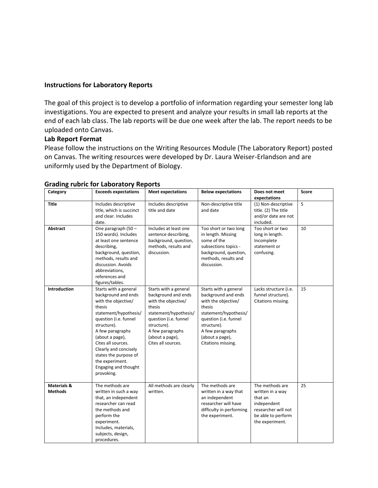#### **Instructions for Laboratory Reports**

The goal of this project is to develop a portfolio of information regarding your semester long lab investigations. You are expected to present and analyze your results in small lab reports at the end of each lab class. The lab reports will be due one week after the lab. The report needs to be uploaded onto Canvas.

### **Lab Report Format**

Please follow the instructions on the Writing Resources Module (The Laboratory Report) posted on Canvas. The writing resources were developed by Dr. Laura Weiser-Erlandson and are uniformly used by the Department of Biology.

| Category                                 | <b>Exceeds expectations</b>                                                                                                                                                                                                                                                                                            | <b>Meet expectations</b>                                                                                                                                                                                    | <b>Below expectations</b>                                                                                                                                                                                   | Does not meet<br>expectations                                                                                                 | Score |
|------------------------------------------|------------------------------------------------------------------------------------------------------------------------------------------------------------------------------------------------------------------------------------------------------------------------------------------------------------------------|-------------------------------------------------------------------------------------------------------------------------------------------------------------------------------------------------------------|-------------------------------------------------------------------------------------------------------------------------------------------------------------------------------------------------------------|-------------------------------------------------------------------------------------------------------------------------------|-------|
| <b>Title</b>                             | Includes descriptive<br>title, which is succinct<br>and clear. Includes<br>date.                                                                                                                                                                                                                                       | Includes descriptive<br>title and date                                                                                                                                                                      | Non-descriptive title<br>and date                                                                                                                                                                           | (1) Non-descriptive<br>title. (2) The title<br>and/or date are not<br>included.                                               | 5     |
| Abstract                                 | One paragraph (50 -<br>150 words). Includes<br>at least one sentence<br>describing,<br>background, question,<br>methods, results and<br>discussion. Avoids<br>abbreviations,<br>references and<br>figures/tables.                                                                                                      | Includes at least one<br>sentence describing,<br>background, question,<br>methods, results and<br>discussion.                                                                                               | Too short or two long<br>in length. Missing<br>some of the<br>subsections topics -<br>background, question,<br>methods, results and<br>discussion.                                                          | Too short or two<br>long in length.<br>Incomplete<br>statement or<br>confusing.                                               | 10    |
| <b>Introduction</b>                      | Starts with a general<br>background and ends<br>with the objective/<br>thesis<br>statement/hypothesis/<br>question (i.e. funnel<br>structure).<br>A few paragraphs<br>(about a page),<br>Cites all sources.<br>Clearly and concisely<br>states the purpose of<br>the experiment.<br>Engaging and thought<br>provoking. | Starts with a general<br>background and ends<br>with the objective/<br>thesis<br>statement/hypothesis/<br>question (i.e. funnel<br>structure).<br>A few paragraphs<br>(about a page),<br>Cites all sources. | Starts with a general<br>background and ends<br>with the objective/<br>thesis<br>statement/hypothesis/<br>question (i.e. funnel<br>structure).<br>A few paragraphs<br>(about a page),<br>Citations missing. | Lacks structure (i.e.<br>funnel structure).<br>Citations missing.                                                             | 15    |
| <b>Materials &amp;</b><br><b>Methods</b> | The methods are<br>written in such a way<br>that, an independent<br>researcher can read<br>the methods and<br>perform the<br>experiment.<br>Includes, materials,<br>subjects, design,<br>procedures.                                                                                                                   | All methods are clearly<br>written.                                                                                                                                                                         | The methods are<br>written in a way that<br>an independent<br>researcher will have<br>difficulty in performing<br>the experiment.                                                                           | The methods are<br>written in a way<br>that an<br>independent<br>researcher will not<br>be able to perform<br>the experiment. | 25    |

#### **Grading rubric for Laboratory Reports**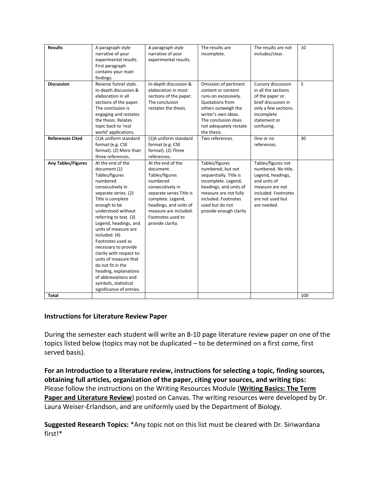| <b>Results</b>            | A paragraph style        | A paragraph style        | The results are        | The results are not  | 10  |
|---------------------------|--------------------------|--------------------------|------------------------|----------------------|-----|
|                           | narrative of your        | narrative of your        | incomplete.            | includes/clear.      |     |
|                           | experimental results.    | experimental results.    |                        |                      |     |
|                           | First paragraph          |                          |                        |                      |     |
|                           | contains your main       |                          |                        |                      |     |
|                           | findings.                |                          |                        |                      |     |
| <b>Discussion</b>         | Reverse funnel style.    | In-depth discussion &    | Omission of pertinent  | Cursory discussion   | 5   |
|                           | In-depth discussion &    | elaboration in most      | content or content     | in all the sections  |     |
|                           | elaboration in all       | sections of the paper.   | runs-on excessively.   | of the paper or      |     |
|                           | sections of the paper.   | The conclusion           | Quotations from        | brief discussion in  |     |
|                           | The conclusion is        | restates the thesis.     | others outweigh the    | only a few sections. |     |
|                           | engaging and restates    |                          | writer's own ideas.    | Incomplete           |     |
|                           | the thesis. Relates      |                          | The conclusion does    | statement or         |     |
|                           | topic back to 'real      |                          | not adequately restate | confusing.           |     |
|                           | world' applications.     |                          | the thesis.            |                      |     |
| <b>References Cited</b>   | (1)A uniform standard    | (1)A uniform standard    | Two references.        | One or no            | 30  |
|                           | format (e.g. CSE         | format (e.g. CSE         |                        | references.          |     |
|                           | format). (2) More than   | format). (2) Three       |                        |                      |     |
|                           | three references.        | references.              |                        |                      |     |
| <b>Any Tables/Figures</b> | At the end of the        | At the end of the        | Tables/figures         | Tables/figures not   |     |
|                           | document (1)             | document.                | numbered, but not      | numbered. No title.  |     |
|                           | Tables/figures           | Tables/figures           | sequentially. Title is | Legend, headings,    |     |
|                           | numbered                 | numbered                 | incomplete. Legend,    | and units of         |     |
|                           | consecutively in         | consecutively in         | headings, and units of | measure are not      |     |
|                           | separate series. (2)     | separate series Title is | measure are not fully  | included. Footnotes  |     |
|                           | Title is complete        | complete. Legend,        | included. Footnotes    | are not used but     |     |
|                           | enough to be             | headings, and units of   | used but do not        | are needed.          |     |
|                           | understood without       | measure are included.    | provide enough clarity |                      |     |
|                           | referring to text. (3)   | Footnotes used to        |                        |                      |     |
|                           | Legend, headings, and    | provide clarity.         |                        |                      |     |
|                           | units of measure are     |                          |                        |                      |     |
|                           | included. (4)            |                          |                        |                      |     |
|                           | Footnotes used as        |                          |                        |                      |     |
|                           | necessary to provide     |                          |                        |                      |     |
|                           | clarity with respect to: |                          |                        |                      |     |
|                           | units of measure that    |                          |                        |                      |     |
|                           | do not fit in the        |                          |                        |                      |     |
|                           | heading, explanations    |                          |                        |                      |     |
|                           | of abbreviations and     |                          |                        |                      |     |
|                           | symbols, statistical     |                          |                        |                      |     |
|                           | significance of entries. |                          |                        |                      |     |
| Total                     |                          |                          |                        |                      | 100 |

## **Instructions for Literature Review Paper**

During the semester each student will write an 8-10 page literature review paper on one of the topics listed below (topics may not be duplicated – to be determined on a first come, first served basis).

**For an Introduction to a literature review, instructions for selecting a topic, finding sources, obtaining full articles, organization of the paper, citing your sources, and writing tips:** Please follow the instructions on the Writing Resources Module (**Writing Basics: The Term Paper and Literature Review**) posted on Canvas. The writing resources were developed by Dr. Laura Weiser-Erlandson, and are uniformly used by the Department of Biology.

**Suggested Research Topics:** \*Any topic not on this list must be cleared with Dr. Siriwardana first!\*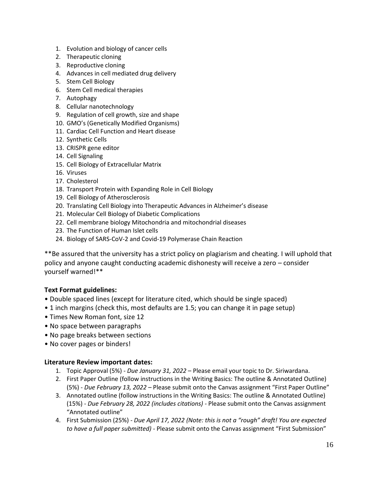- 1. Evolution and biology of cancer cells
- 2. Therapeutic cloning
- 3. Reproductive cloning
- 4. Advances in cell mediated drug delivery
- 5. Stem Cell Biology
- 6. Stem Cell medical therapies
- 7. Autophagy
- 8. Cellular nanotechnology
- 9. Regulation of cell growth, size and shape
- 10. GMO's (Genetically Modified Organisms)
- 11. Cardiac Cell Function and Heart disease
- 12. Synthetic Cells
- 13. CRISPR gene editor
- 14. Cell Signaling
- 15. Cell Biology of Extracellular Matrix
- 16. Viruses
- 17. Cholesterol
- 18. Transport Protein with Expanding Role in Cell Biology
- 19. Cell Biology of Atherosclerosis
- 20. Translating Cell Biology into Therapeutic Advances in Alzheimer's disease
- 21. Molecular Cell Biology of Diabetic Complications
- 22. Cell membrane biology Mitochondria and mitochondrial diseases
- 23. The Function of Human Islet cells
- 24. Biology of SARS-CoV-2 and Covid-19 Polymerase Chain Reaction

\*\*Be assured that the university has a strict policy on plagiarism and cheating. I will uphold that policy and anyone caught conducting academic dishonesty will receive a zero – consider yourself warned!\*\*

### **Text Format guidelines:**

- Double spaced lines (except for literature cited, which should be single spaced)
- 1 inch margins (check this, most defaults are 1.5; you can change it in page setup)
- Times New Roman font, size 12
- No space between paragraphs
- No page breaks between sections
- No cover pages or binders!

#### **Literature Review important dates:**

- 1. Topic Approval (5%) *Due January 31, 2022* Please email your topic to Dr. Siriwardana.
- 2. First Paper Outline (follow instructions in the Writing Basics: The outline & Annotated Outline) (5%) - *Due February 13, 2022 –* Please submit onto the Canvas assignment "First Paper Outline"
- 3. Annotated outline (follow instructions in the Writing Basics: The outline & Annotated Outline) (15%) - *Due February 28, 2022 (includes citations)* - Please submit onto the Canvas assignment "Annotated outline"
- 4. First Submission (25%) *Due April 17, 2022 (Note: this is not a "rough" draft! You are expected to have a full paper submitted)* - Please submit onto the Canvas assignment "First Submission"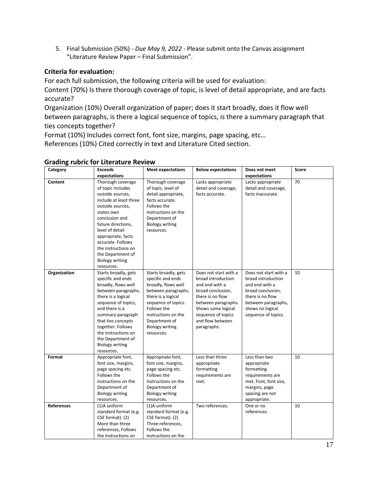5. Final Submission (50%) - *Due May 9, 2022* - Please submit onto the Canvas assignment "Literature Review Paper – Final Submission".

### **Criteria for evaluation:**

For each full submission, the following criteria will be used for evaluation:

Content (70%) Is there thorough coverage of topic, is level of detail appropriate, and are facts accurate?

Organization (10%) Overall organization of paper; does it start broadly, does it flow well between paragraphs, is there a logical sequence of topics, is there a summary paragraph that ties concepts together?

Format (10%) Includes correct font, font size, margins, page spacing, etc…

References (10%) Cited correctly in text and Literature Cited section.

| Category          | <b>Exceeds</b>         | <b>Meet expectations</b> | <b>Below expectations</b> | Does not meet         | Score |
|-------------------|------------------------|--------------------------|---------------------------|-----------------------|-------|
|                   | expectations           |                          |                           | expectations          |       |
| Content           | Thorough coverage      | Thorough coverage        | Lacks appropriate         | Lacks appropriate     | 70    |
|                   | of topic includes      | of topic, level of       | detail and coverage,      | detail and coverage,  |       |
|                   | outside sources,       | detail appropriate,      | facts accurate.           | facts inaccurate.     |       |
|                   | include at least three | facts accurate.          |                           |                       |       |
|                   | outside sources,       | Follows the              |                           |                       |       |
|                   | states own             | instructions on the      |                           |                       |       |
|                   | conclusion and         | Department of            |                           |                       |       |
|                   | future directions,     | <b>Biology writing</b>   |                           |                       |       |
|                   | level of detail        | resources.               |                           |                       |       |
|                   | appropriate, facts     |                          |                           |                       |       |
|                   | accurate. Follows      |                          |                           |                       |       |
|                   | the instructions on    |                          |                           |                       |       |
|                   | the Department of      |                          |                           |                       |       |
|                   | <b>Biology writing</b> |                          |                           |                       |       |
|                   | resources.             |                          |                           |                       |       |
| Organization      | Starts broadly, gets   | Starts broadly, gets     | Does not start with a     | Does not start with a | 10    |
|                   | specific and ends      | specific and ends        | broad introduction        | broad introduction    |       |
|                   | broadly, flows well    | broadly, flows well      | and end with a            | and end with a        |       |
|                   | between paragraphs,    | between paragraphs,      | broad conclusion,         | broad conclusion,     |       |
|                   | there is a logical     | there is a logical       | there is no flow          | there is no flow      |       |
|                   | sequence of topics,    | sequence of topics.      | between paragraphs.       | between paragraphs,   |       |
|                   | and there is a         | Follows the              | Shows some logical        | shows no logical      |       |
|                   | summary paragraph      | instructions on the      | sequence of topics        | sequence of topics.   |       |
|                   | that ties concepts     | Department of            | and flow between          |                       |       |
|                   | together. Follows      | <b>Biology writing</b>   | paragraphs.               |                       |       |
|                   | the instructions on    | resources.               |                           |                       |       |
|                   | the Department of      |                          |                           |                       |       |
|                   | <b>Biology writing</b> |                          |                           |                       |       |
|                   | resources.             |                          |                           |                       |       |
| Format            | Appropriate font,      | Appropriate font,        | Less than three           | Less than two         | 10    |
|                   | font size, margins,    | font size, margins,      | appropriate               | appropriate           |       |
|                   | page spacing etc.      | page spacing etc.        | formatting                | formatting            |       |
|                   | Follows the            | Follows the              | requirements are          | requirements are      |       |
|                   | instructions on the    | instructions on the      | met.                      | met. Font, font size, |       |
|                   | Department of          | Department of            |                           | margins, page         |       |
|                   | <b>Biology writing</b> | <b>Biology writing</b>   |                           | spacing are not       |       |
|                   | resources.             | resources.               |                           | appropriate.          |       |
| <b>References</b> | (1)A uniform           | (1)A uniform             | Two references.           | One or no             | 10    |
|                   | standard format (e.g.  | standard format (e.g.    |                           | references.           |       |
|                   | CSE format). (2)       | CSE format). (2)         |                           |                       |       |
|                   | More than three        | Three references,        |                           |                       |       |
|                   | references, Follows    | Follows the              |                           |                       |       |
|                   | the instructions on    | instructions on the      |                           |                       |       |

#### **Grading rubric for Literature Review**